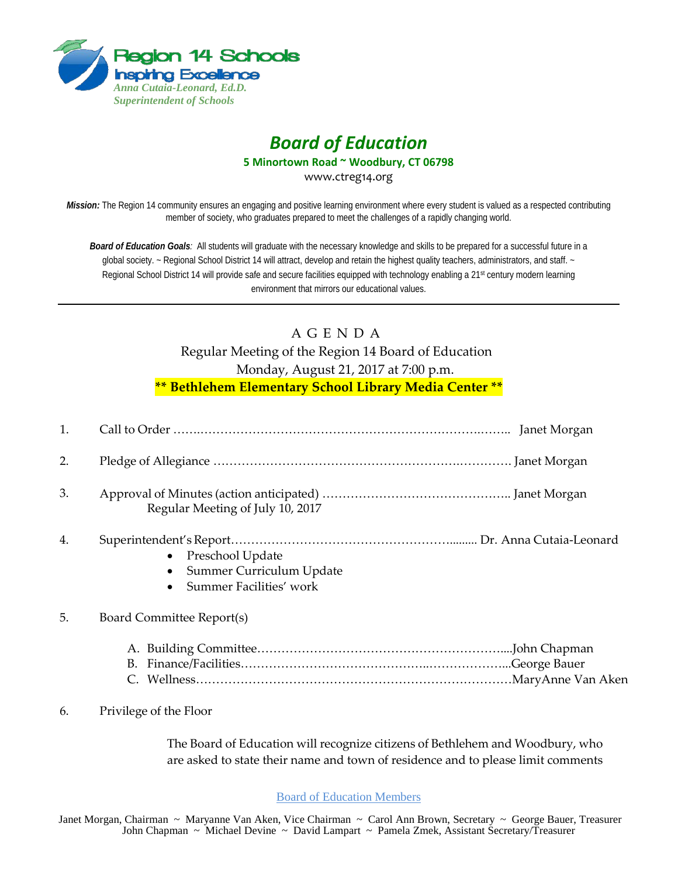

## *Board of Education*

**5 Minortown Road ~ Woodbury, CT 06798**

www.ctreg14.org

*Mission:* The Region 14 community ensures an engaging and positive learning environment where every student is valued as a respected contributing member of society, who graduates prepared to meet the challenges of a rapidly changing world.

*Board of Education Goals:* All students will graduate with the necessary knowledge and skills to be prepared for a successful future in a global society. ~ Regional School District 14 will attract, develop and retain the highest quality teachers, administrators, and staff. ~ Regional School District 14 will provide safe and secure facilities equipped with technology enabling a 21<sup>st</sup> century modern learning environment that mirrors our educational values.

## A G E N D A Regular Meeting of the Region 14 Board of Education Monday, August 21, 2017 at 7:00 p.m. **\*\* Bethlehem Elementary School Library Media Center \*\***

| 1. |                                                                                      |
|----|--------------------------------------------------------------------------------------|
| 2. |                                                                                      |
| 3. | Regular Meeting of July 10, 2017                                                     |
| 4. | Preschool Update<br>$\bullet$<br>Summer Curriculum Update<br>Summer Facilities' work |
| 5. | Board Committee Report(s)                                                            |
| 6. | Privilege of the Floor                                                               |

The Board of Education will recognize citizens of Bethlehem and Woodbury, who are asked to state their name and town of residence and to please limit comments

Board of Education Members